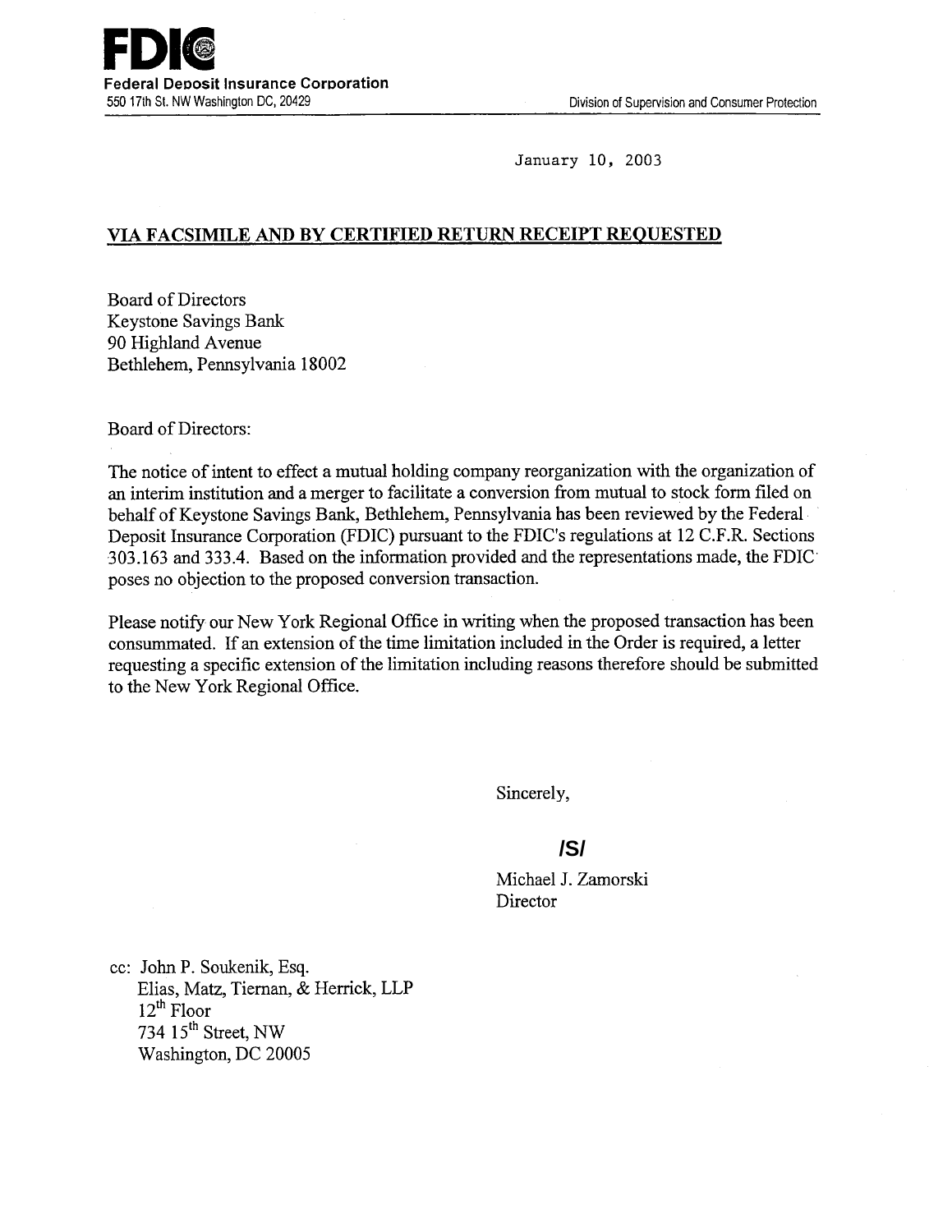

January 10, 2003

## **VIA FACSIMILE AND BY CERTIFIED RETURN RECEIPT REQUESTED**

Board of Directors Keystone Savings Bank 90 Highland Avenue Bethlehem, Pennsylvania 18002

Board of Directors:

The notice of intent to effect a mutual holding company reorganization with the organization of an interim institution and a merger to facilitate a conversion from mutual to stock form filed on behalf of Keystone Savings Bank, Bethlehem, Pennsylvania has been reviewed by the Federal Deposit Insurance Corporation (FDIC) pursuant to the FDIC's regulations at 12 C.F.R. Sections 303.163 and 333.4. Based on the information provided and the representations made, the FDIC poses no objection to the proposed conversion transaction.

Please notify our New York Regional Office in writing when the proposed transaction has been consummated. If an extension of the time limitation included in the Order is required, a letter requesting a specific extension of the limitation including reasons therefore should be submitted to the New York Regional Office.

Sincerely,

# **/S/**

Michael J. Zamorski **Director** 

cc: John P. Soukenik, Esq. Elias, Matz, Tiernan, & Herrick, LLP  $12^{th}$  Floor 734  $15<sup>th</sup>$  Street, NW Washington, DC 20005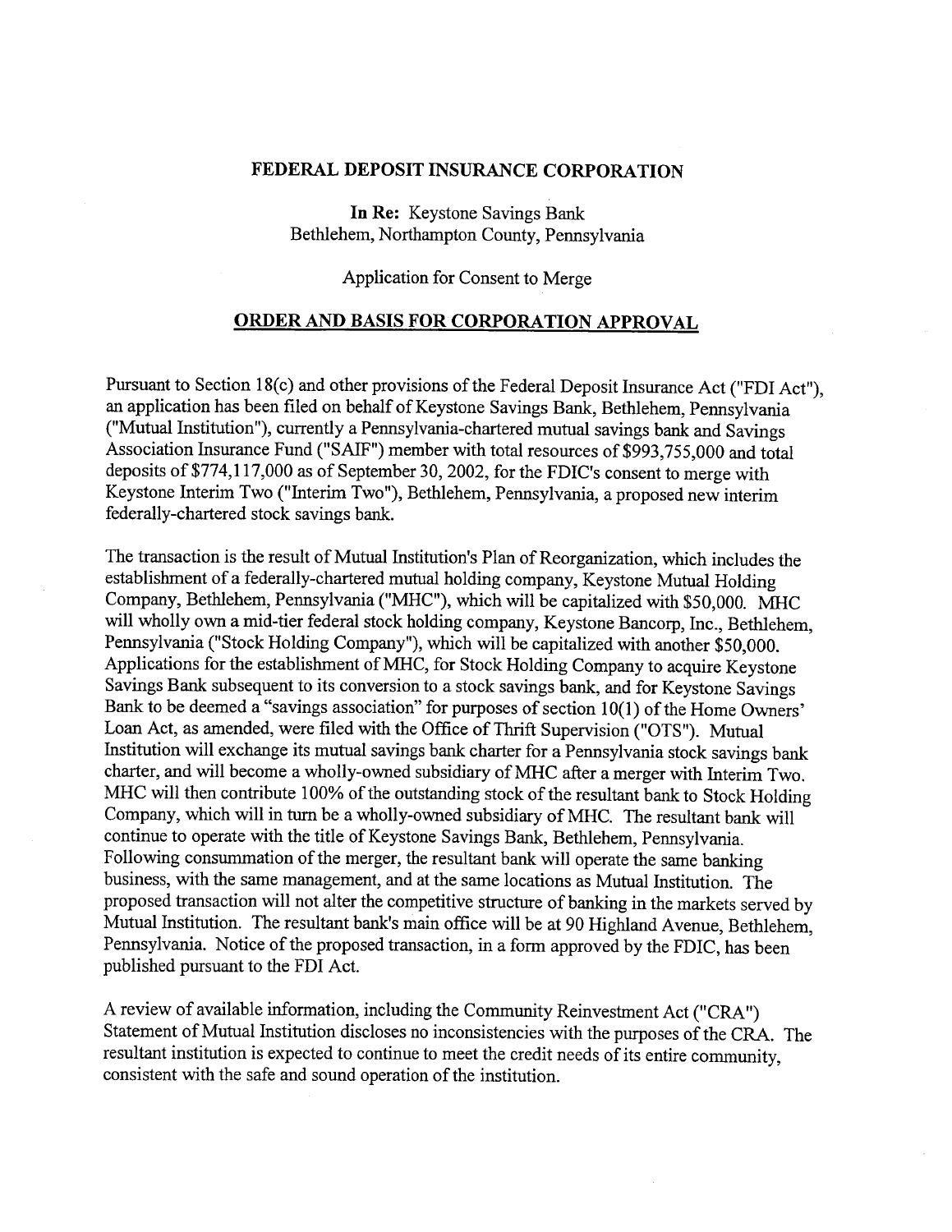#### **FEDERAL DEPOSIT INSURANCE CORPORATION**

**In Re:** Keystone Savings Bank Bethlehem, Northampton County, Pennsylvania

### Application for Consent to Merge

#### **ORDER AND BASIS FOR CORPORATION APPROVAL**

Pursuant to Section 18(c) and other provisions of the Federal Deposit Insurance Act ("FDI Act"), an application has been filed on behalf of Keystone Savings Bank, Bethlehem, Pennsylvania ("Mutual Institution"), currently a Pennsylvania-chartered mutual savings bank and Savings Association Insurance Fund ("SAIF") member with total resources of \$993,755,000 and total deposits of \$774,117,000 as of September 30, 2002, for the FDIC's consent to merge with Keystone Interim Two ("Interim Two"), Bethlehem, Pennsylvania, a proposed new interim federally-chartered stock savings bank.

The transaction is the result of Mutual Institution's Plan of Reorganization, which includes the establishment of a federally-chartered mutual holding company, Keystone Mutual Holding Company, Bethlehem, Pennsylvania ("MHC"), which will be capitalized with \$50,000. MHC will wholly own a mid-tier federal stock holding company, Keystone Bancorp, Inc., Bethlehem, Pennsylvania ("Stock Holding Company"), which will be capitalized with another \$50,000. Applications for the establishment of MHC, for Stock Holding Company to acquire Keystone Savings Bank subsequent to its conversion to a stock savings bank, and for Keystone Savings Bank to be deemed a "savings association" for purposes of section 10(1) of the Home Owners' Loan Act, as amended, were filed with the Office of Thrift Supervision ("OTS"). Mutual Institution will exchange its mutual savings bank charter for a Pennsylvania stock savings bank charter, and will become a wholly-owned subsidiary of MHC after a merger with Interim Two. MHC will then contribute 100% of the outstanding stock of the resultant bank to Stock Holding Company, which will in turn be a wholly-owned subsidiary of MHC. The resultant bank will continue to operate with the title of Keystone Savings Bank, Bethlehem, Pennsylvania. Following consummation of the merger, the resultant bank will operate the same banking business, with the same management, and at the same locations as Mutual Institution. The proposed transaction will not alter the competitive structure of banking in the markets served by Mutual Institution. The resultant bank's main office will be at 90 Highland Avenue, Bethlehem, Pennsylvania. Notice of the proposed transaction, in a form approved by the FDIC, has been published pursuant to the FDI Act.

A review of available information, including the Community Reinvestment Act ("CRA") Statement of Mutual Institution discloses no inconsistencies with the purposes of the CRA. The resultant institution is expected to continue to meet the credit needs of its entire community, consistent with the safe and sound operation of the institution.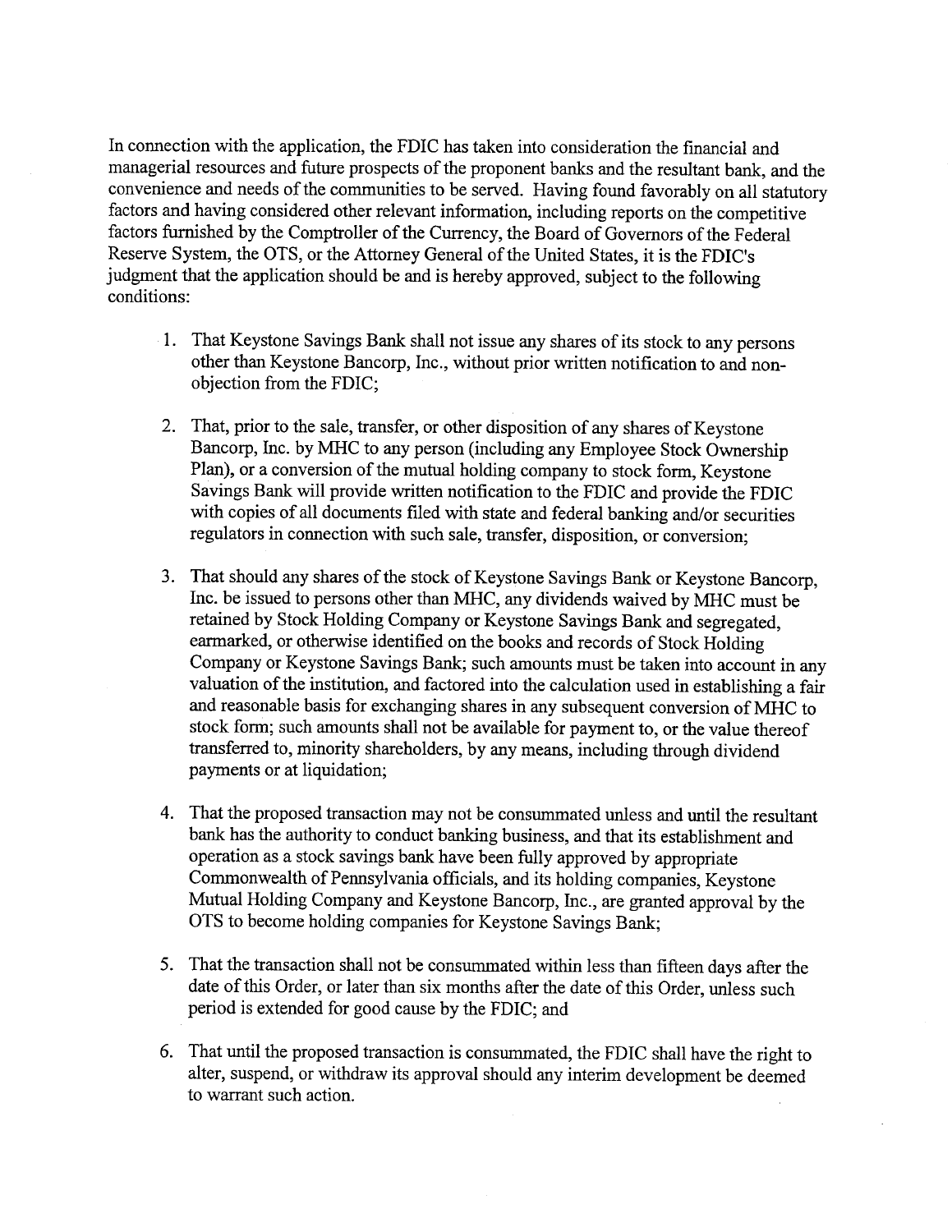In connection with the application, the FDIC has taken into consideration the financial and managerial resources and future prospects of the proponent banks and the resultant bank, and the convenience and needs of the communities to be served. Having found favorably on all statutory factors and having considered other relevant information, including reports on the competitive factors furnished by the Comptroller of the Currency, the Board of Governors of the Federal Reserve System, the OTS, or the Attorney General of the United States, it is the FDIC's judgment that the application should be and is hereby approved, subject to the following conditions:

- 1. That Keystone Savings Bank shall not issue any shares of its stock to any persons other than Keystone Bancorp, Inc., without prior written notification to and nonobjection from the FDIC;
- 2. That, prior to the sale, transfer, or other disposition of any shares of Keystone Bancorp, Inc. by MIHC to any person (including any Employee Stock Ownership Plan), or a conversion of the mutual holding company to stock form, Keystone Savings Bank will provide written notification to the FDIC and provide the FDIC with copies of all documents filed with state and federal banking and/or securities regulators in connection with such sale, transfer, disposition, or conversion;
- 3. That should any shares of the stock of Keystone Savings Bank or Keystone Bancorp, Inc. be issued to persons other than MHC, any dividends waived by MHC must be retained by Stock Holding Company or Keystone Savings Bank and segregated, earmarked, or otherwise identified on the books and records of Stock Holding Company or Keystone Savings Bank; such amounts must be taken into account in any valuation of the institution, and factored into the calculation used in establishing a fair and reasonable basis for exchanging shares in any subsequent conversion of MHC to stock form; such amounts shall not be available for payment to, or the value thereof transferred to, minority shareholders, by any means, including through dividend payments or at liquidation;
- 4. That the proposed transaction may not be consummated unless and until the resultant bank has the authority to conduct banking business, and that its establishment and operation as a stock savings bank have been fully approved by appropriate Commonwealth of Pennsylvania officials, and its holding companies, Keystone Mutual Holding Company and Keystone Bancorp, Inc., are granted approval by the OTS to become holding companies for Keystone Savings Bank;
- 5. That the transaction shall not be consummated within less than fifteen days after the date of this Order, or later than six months after the date of this Order, unless such period is extended for good cause by the FDIC; and
- 6. That until the proposed transaction is consummated, the FDIC shall have the right to alter, suspend, or withdraw its approval should any interim development be deemed to warrant such action.